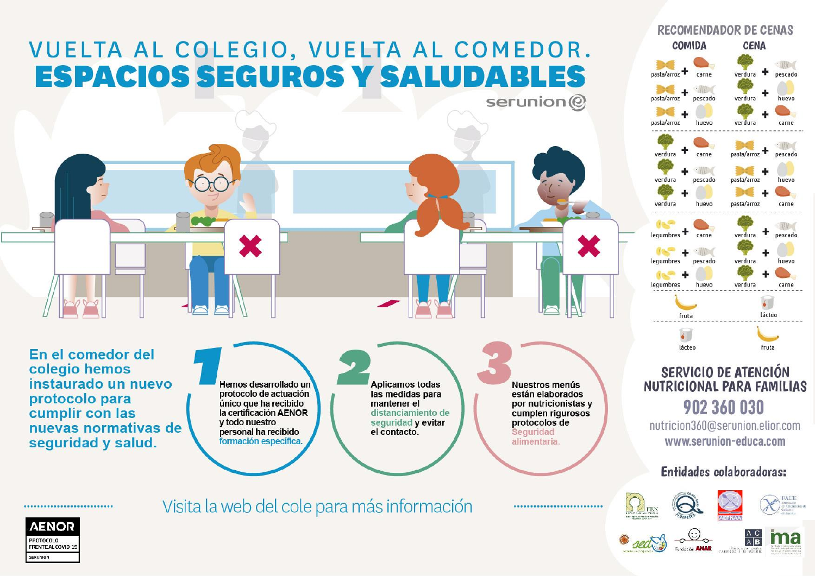